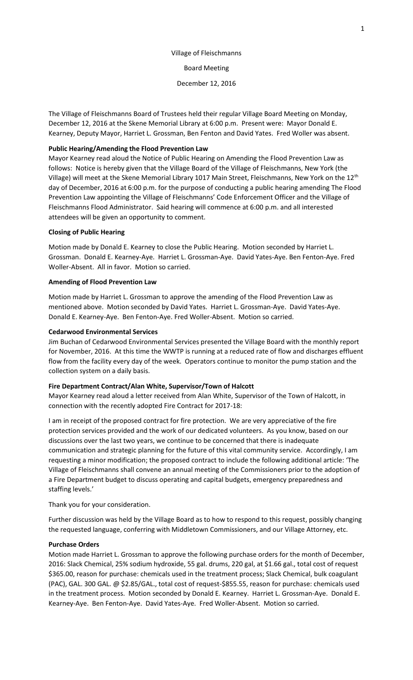#### Village of Fleischmanns

Board Meeting

December 12, 2016

The Village of Fleischmanns Board of Trustees held their regular Village Board Meeting on Monday, December 12, 2016 at the Skene Memorial Library at 6:00 p.m. Present were: Mayor Donald E. Kearney, Deputy Mayor, Harriet L. Grossman, Ben Fenton and David Yates. Fred Woller was absent.

# **Public Hearing/Amending the Flood Prevention Law**

Mayor Kearney read aloud the Notice of Public Hearing on Amending the Flood Prevention Law as follows: Notice is hereby given that the Village Board of the Village of Fleischmanns, New York (the Village) will meet at the Skene Memorial Library 1017 Main Street, Fleischmanns, New York on the 12<sup>th</sup> day of December, 2016 at 6:00 p.m. for the purpose of conducting a public hearing amending The Flood Prevention Law appointing the Village of Fleischmanns' Code Enforcement Officer and the Village of Fleischmanns Flood Administrator. Said hearing will commence at 6:00 p.m. and all interested attendees will be given an opportunity to comment.

#### **Closing of Public Hearing**

Motion made by Donald E. Kearney to close the Public Hearing. Motion seconded by Harriet L. Grossman. Donald E. Kearney-Aye. Harriet L. Grossman-Aye. David Yates-Aye. Ben Fenton-Aye. Fred Woller-Absent. All in favor. Motion so carried.

## **Amending of Flood Prevention Law**

Motion made by Harriet L. Grossman to approve the amending of the Flood Prevention Law as mentioned above. Motion seconded by David Yates. Harriet L. Grossman-Aye. David Yates-Aye. Donald E. Kearney-Aye. Ben Fenton-Aye. Fred Woller-Absent. Motion so carried.

## **Cedarwood Environmental Services**

Jim Buchan of Cedarwood Environmental Services presented the Village Board with the monthly report for November, 2016. At this time the WWTP is running at a reduced rate of flow and discharges effluent flow from the facility every day of the week. Operators continue to monitor the pump station and the collection system on a daily basis.

#### **Fire Department Contract/Alan White, Supervisor/Town of Halcott**

Mayor Kearney read aloud a letter received from Alan White, Supervisor of the Town of Halcott, in connection with the recently adopted Fire Contract for 2017-18:

I am in receipt of the proposed contract for fire protection. We are very appreciative of the fire protection services provided and the work of our dedicated volunteers. As you know, based on our discussions over the last two years, we continue to be concerned that there is inadequate communication and strategic planning for the future of this vital community service. Accordingly, I am requesting a minor modification; the proposed contract to include the following additional article: 'The Village of Fleischmanns shall convene an annual meeting of the Commissioners prior to the adoption of a Fire Department budget to discuss operating and capital budgets, emergency preparedness and staffing levels.'

Thank you for your consideration.

Further discussion was held by the Village Board as to how to respond to this request, possibly changing the requested language, conferring with Middletown Commissioners, and our Village Attorney, etc.

### **Purchase Orders**

Motion made Harriet L. Grossman to approve the following purchase orders for the month of December, 2016: Slack Chemical, 25% sodium hydroxide, 55 gal. drums, 220 gal, at \$1.66 gal., total cost of request \$365.00, reason for purchase: chemicals used in the treatment process; Slack Chemical, bulk coagulant (PAC), GAL. 300 GAL. @ \$2.85/GAL., total cost of request-\$855.55, reason for purchase: chemicals used in the treatment process. Motion seconded by Donald E. Kearney. Harriet L. Grossman-Aye. Donald E. Kearney-Aye. Ben Fenton-Aye. David Yates-Aye. Fred Woller-Absent. Motion so carried.